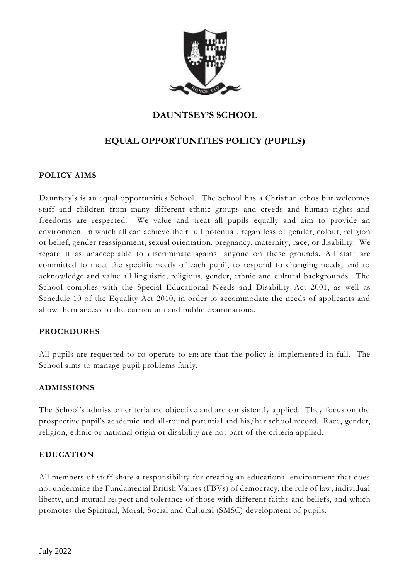

## **DAUNTSEY'S SCHOOL**

# **EQUAL OPPORTUNITIES POLICY (PUPILS)**

#### **POLICY AIMS**

Dauntsey's is an equal opportunities School. The School has a Christian ethos but welcomes staff and children from many different ethnic groups and creeds and human rights and freedoms are respected. We value and treat all pupils equally and aim to provide an environment in which all can achieve their full potential, regardless of gender, colour, religion or belief, gender reassignment, sexual orientation, pregnancy, maternity, race, or disability. We regard it as unacceptable to discriminate against anyone on these grounds. All staff are committed to meet the specific needs of each pupil, to respond to changing needs, and to acknowledge and value all linguistic, religious, gender, ethnic and cultural backgrounds. The School complies with the Special Educational Needs and Disability Act 2001, as well as Schedule 10 of the Equality Act 2010, in order to accommodate the needs of applicants and allow them access to the curriculum and public examinations.

#### **PROCEDURES**

All pupils are requested to co-operate to ensure that the policy is implemented in full. The School aims to manage pupil problems fairly.

#### **ADMISSIONS**

The School's admission criteria are objective and are consistently applied. They focus on the prospective pupil's academic and all-round potential and his/her school record. Race, gender, religion, ethnic or national origin or disability are not part of the criteria applied.

#### **EDUCATION**

All members of staff share a responsibility for creating an educational environment that does not undermine the Fundamental British Values (FBVs) of democracy, the rule of law, individual liberty, and mutual respect and tolerance of those with different faiths and beliefs, and which promotes the Spiritual, Moral, Social and Cultural (SMSC) development of pupils.